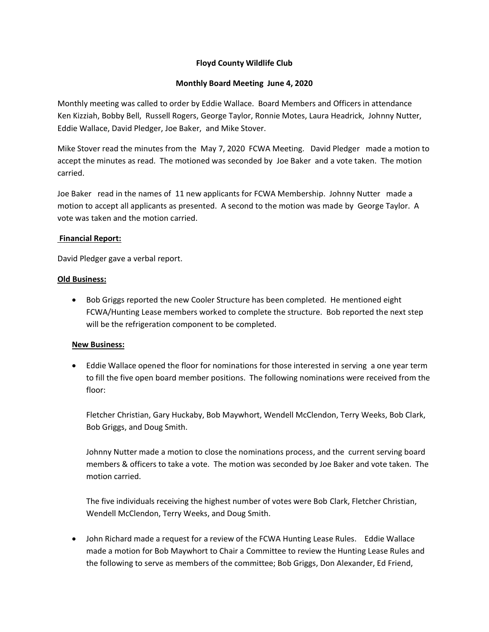## **Floyd County Wildlife Club**

### **Monthly Board Meeting June 4, 2020**

Monthly meeting was called to order by Eddie Wallace. Board Members and Officers in attendance Ken Kizziah, Bobby Bell, Russell Rogers, George Taylor, Ronnie Motes, Laura Headrick, Johnny Nutter, Eddie Wallace, David Pledger, Joe Baker, and Mike Stover.

Mike Stover read the minutes from the May 7, 2020 FCWA Meeting. David Pledger made a motion to accept the minutes as read. The motioned was seconded by Joe Baker and a vote taken. The motion carried.

Joe Baker read in the names of 11 new applicants for FCWA Membership. Johnny Nutter made a motion to accept all applicants as presented. A second to the motion was made by George Taylor. A vote was taken and the motion carried.

#### **Financial Report:**

David Pledger gave a verbal report.

## **Old Business:**

• Bob Griggs reported the new Cooler Structure has been completed. He mentioned eight FCWA/Hunting Lease members worked to complete the structure. Bob reported the next step will be the refrigeration component to be completed.

# **New Business:**

 Eddie Wallace opened the floor for nominations for those interested in serving a one year term to fill the five open board member positions. The following nominations were received from the floor:

Fletcher Christian, Gary Huckaby, Bob Maywhort, Wendell McClendon, Terry Weeks, Bob Clark, Bob Griggs, and Doug Smith.

Johnny Nutter made a motion to close the nominations process, and the current serving board members & officers to take a vote. The motion was seconded by Joe Baker and vote taken. The motion carried.

The five individuals receiving the highest number of votes were Bob Clark, Fletcher Christian, Wendell McClendon, Terry Weeks, and Doug Smith.

 John Richard made a request for a review of the FCWA Hunting Lease Rules. Eddie Wallace made a motion for Bob Maywhort to Chair a Committee to review the Hunting Lease Rules and the following to serve as members of the committee; Bob Griggs, Don Alexander, Ed Friend,